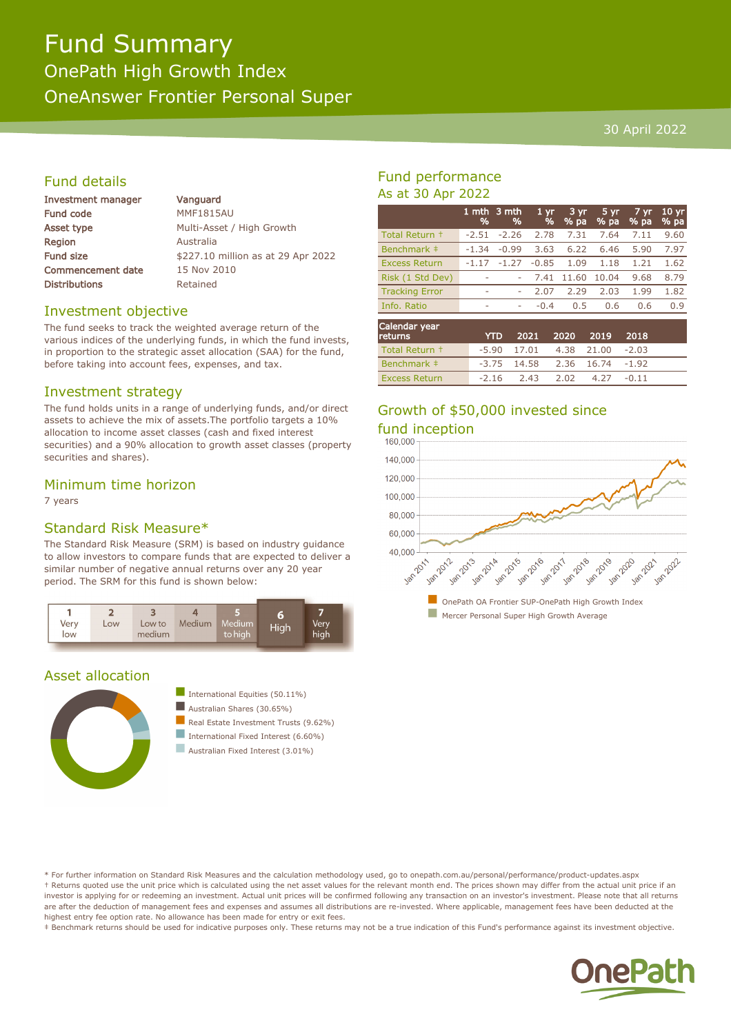# Fund Summary OnePath High Growth Index OneAnswer Frontier Personal Super

#### 30 April 2022

# Fund details

| <b>Investment manager</b> | Vanguard                           |  |  |  |  |
|---------------------------|------------------------------------|--|--|--|--|
| Fund code                 | <b>MMF1815AU</b>                   |  |  |  |  |
| Asset type                | Multi-Asset / High Growth          |  |  |  |  |
| <b>Region</b>             | Australia                          |  |  |  |  |
| Fund size                 | \$227.10 million as at 29 Apr 2022 |  |  |  |  |
| <b>Commencement date</b>  | 15 Nov 2010                        |  |  |  |  |
| <b>Distributions</b>      | Retained                           |  |  |  |  |
|                           |                                    |  |  |  |  |

#### Investment objective

The fund seeks to track the weighted average return of the various indices of the underlying funds, in which the fund invests, in proportion to the strategic asset allocation (SAA) for the fund, before taking into account fees, expenses, and tax.

#### Investment strategy

The fund holds units in a range of underlying funds, and/or direct assets to achieve the mix of assets.The portfolio targets a 10% allocation to income asset classes (cash and fixed interest securities) and a 90% allocation to growth asset classes (property securities and shares).

### Minimum time horizon

7 years

## Standard Risk Measure\*

The Standard Risk Measure (SRM) is based on industry guidance to allow investors to compare funds that are expected to deliver a similar number of negative annual returns over any 20 year period. The SRM for this fund is shown below:



## Asset allocation



International Equities  $(50.11\%)$ Australian Shares (30.65%)  $\blacksquare$  Real Estate Investment Trusts (9.62%) International Fixed Interest  $(6.60\%)$ 

Australian Fixed Interest (3.01%)

# Fund performance As at 30 Apr 2022

|                       | 1 mth<br>% | 3 mth<br>% | 1 <sub>yr</sub><br>% | 3 yr<br>$%$ pa | 5 yr<br>% pa | 7 yr<br>% pa | 10 <sub>yr</sub><br>% pa |
|-----------------------|------------|------------|----------------------|----------------|--------------|--------------|--------------------------|
| Total Return +        | $-2.51$    | $-2.26$    | 2.78                 | 7.31           | 7.64         | 7.11         | 9.60                     |
| Benchmark ‡           | $-1.34$    | $-0.99$    | 3.63                 | 6.22           | 6.46         | 5.90         | 7.97                     |
| <b>Excess Return</b>  | $-1.17$    | $-1.27$    | $-0.85$              | 1.09           | 1.18         | 1.21         | 1.62                     |
| Risk (1 Std Dev)      |            | ۰          | 7.41                 | 11.60          | 10.04        | 9.68         | 8.79                     |
| <b>Tracking Error</b> | ۰          | ۰          | 2.07                 | 2.29           | 2.03         | 1.99         | 1.82                     |
| Info. Ratio           | ۰          | ۰          | $-0.4$               | 0.5            | 0.6          | 0.6          | 0.9                      |
| Calendar vear         |            |            |                      |                |              |              |                          |

| Calcilual yeal<br><b>returns</b> | YTD 2021 2020 2019 2018          |  |         |  |
|----------------------------------|----------------------------------|--|---------|--|
| Total Return +                   | $-5.90$ 17.01 4.38 21.00 $-2.03$ |  |         |  |
| Benchmark ‡                      | $-3.75$ 14.58 2.36 16.74 $-1.92$ |  |         |  |
| <b>Excess Return</b>             | $-2.16$ $2.43$ $2.02$ $4.27$     |  | $-0.11$ |  |

# Growth of \$50,000 invested since fund inception



\* For further information on Standard Risk Measures and the calculation methodology used, go to onepath.com.au/personal/performance/product-updates.aspx † Returns quoted use the unit price which is calculated using the net asset values for the relevant month end. The prices shown may differ from the actual unit price if an investor is applying for or redeeming an investment. Actual unit prices will be confirmed following any transaction on an investor's investment. Please note that all returns are after the deduction of management fees and expenses and assumes all distributions are re-invested. Where applicable, management fees have been deducted at the highest entry fee option rate. No allowance has been made for entry or exit fees.

‡ Benchmark returns should be used for indicative purposes only. These returns may not be a true indication of this Fund's performance against its investment objective.